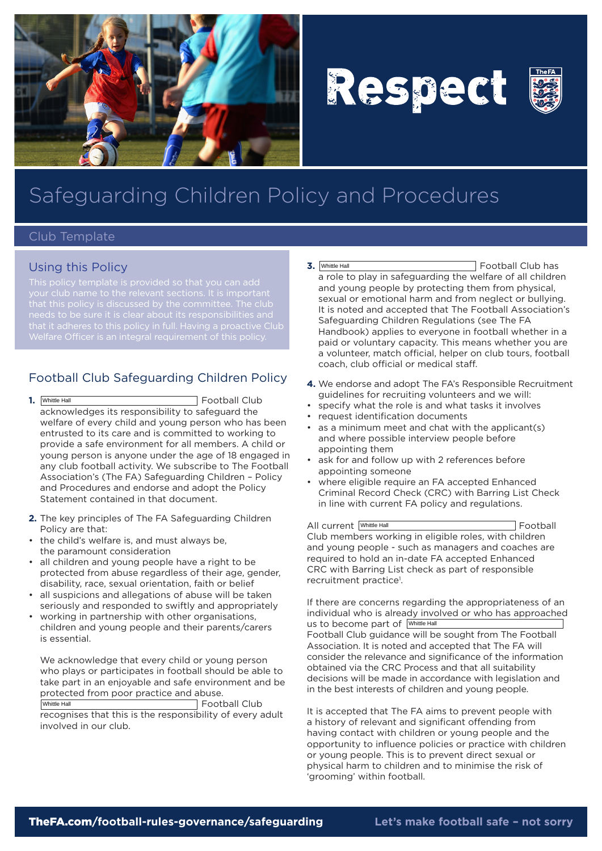

# Respect



## Safeguarding Children Policy and Procedures

#### Club Template

#### Using this Policy

that it adheres to this policy in full. Having a proactive Club

### Football Club Safeguarding Children Policy

- **1.** Football Club acknowledges its responsibility to safeguard the welfare of every child and young person who has been entrusted to its care and is committed to working to provide a safe environment for all members. A child or young person is anyone under the age of 18 engaged in any club football activity. We subscribe to The Football Association's (The FA) Safeguarding Children – Policy and Procedures and endorse and adopt the Policy Statement contained in that document. 1. Whittle Hall
- **2.** The key principles of The FA Safeguarding Children Policy are that:
- the child's welfare is, and must always be, the paramount consideration
- all children and young people have a right to be protected from abuse regardless of their age, gender, disability, race, sexual orientation, faith or belief
- all suspicions and allegations of abuse will be taken seriously and responded to swiftly and appropriately
- working in partnership with other organisations, children and young people and their parents/carers is essential.

We acknowledge that every child or young person who plays or participates in football should be able to take part in an enjoyable and safe environment and be protected from poor practice and abuse. Football Club Whittle Hall

recognises that this is the responsibility of every adult involved in our club.

- **3.** Football Club has a role to play in safeguarding the welfare of all children and young people by protecting them from physical, sexual or emotional harm and from neglect or bullying. It is noted and accepted that The Football Association's Safeguarding Children Regulations (see The FA Handbook) applies to everyone in football whether in a paid or voluntary capacity. This means whether you are a volunteer, match official, helper on club tours, football coach, club official or medical staff. 3. Whittle Hall
- **4.** We endorse and adopt The FA's Responsible Recruitment guidelines for recruiting volunteers and we will:
- • specify what the role is and what tasks it involves
- • request identification documents
- • as a minimum meet and chat with the applicant(s) and where possible interview people before appointing them
- ask for and follow up with 2 references before appointing someone
- where eligible require an FA accepted Enhanced Criminal Record Check (CRC) with Barring List Check in line with current FA policy and regulations.

All current Whittle Hall **Example 20** Football Club members working in eligible roles, with children and young people - such as managers and coaches are required to hold an in-date FA accepted Enhanced CRC with Barring List check as part of responsible recruitment practice<sup>1</sup>.

If there are concerns regarding the appropriateness of an individual who is already involved or who has approached us to become part of Mittle Hall Football Club guidance will be sought from The Football Association. It is noted and accepted that The FA will consider the relevance and significance of the information obtained via the CRC Process and that all suitability decisions will be made in accordance with legislation and in the best interests of children and young people.

It is accepted that The FA aims to prevent people with a history of relevant and significant offending from having contact with children or young people and the opportunity to influence policies or practice with children or young people. This is to prevent direct sexual or physical harm to children and to minimise the risk of 'grooming' within football.